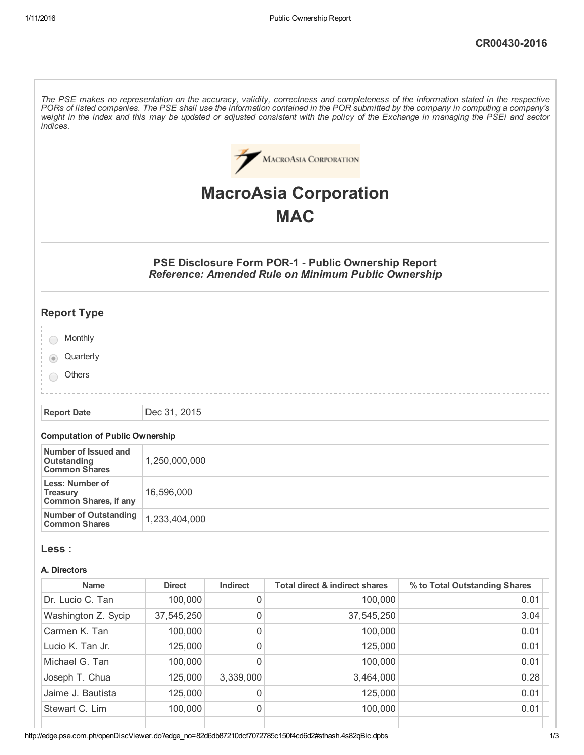The PSE makes no representation on the accuracy, validity, correctness and completeness of the information stated in the respective PORs of listed companies. The PSE shall use the information contained in the POR submitted by the company in computing a company's weight in the index and this may be updated or adjusted consistent with the policy of the Exchange in managing the PSEi and sector *indices.*



# MacroAsia Corporation **MAC**

# PSE Disclosure Form POR-1 - Public Ownership Report *Reference: Amended Rule on Minimum Public Ownership*

| <b>Report Type</b>   |  |  |  |
|----------------------|--|--|--|
|                      |  |  |  |
| Monthly              |  |  |  |
| Quarterly<br>$\odot$ |  |  |  |
|                      |  |  |  |
| Others               |  |  |  |
|                      |  |  |  |
|                      |  |  |  |

Report Date Dec 31, 2015

#### Computation of Public Ownership

| Number of Issued and<br>Outstanding<br><b>Common Shares</b>        | 1,250,000,000 |
|--------------------------------------------------------------------|---------------|
| Less: Number of<br><b>Treasury</b><br><b>Common Shares, if any</b> | 16,596,000    |
| Number of Outstanding<br><b>Common Shares</b>                      | 1,233,404,000 |

#### Less :

#### A. Directors

| <b>Name</b>         | <b>Direct</b> | <b>Indirect</b> | Total direct & indirect shares | % to Total Outstanding Shares |
|---------------------|---------------|-----------------|--------------------------------|-------------------------------|
| Dr. Lucio C. Tan    | 100,000       | 0               | 100,000                        | 0.01                          |
| Washington Z. Sycip | 37,545,250    | 0               | 37,545,250                     | 3.04                          |
| Carmen K. Tan       | 100,000       | 0               | 100,000                        | 0.01                          |
| Lucio K. Tan Jr.    | 125,000       | 0               | 125,000                        | 0.01                          |
| Michael G. Tan      | 100,000       | 0               | 100,000                        | 0.01                          |
| Joseph T. Chua      | 125,000       | 3,339,000       | 3,464,000                      | 0.28                          |
| Jaime J. Bautista   | 125,000       | 0               | 125,000                        | 0.01                          |
| Stewart C. Lim      | 100,000       | 0               | 100,000                        | 0.01                          |
|                     |               |                 |                                |                               |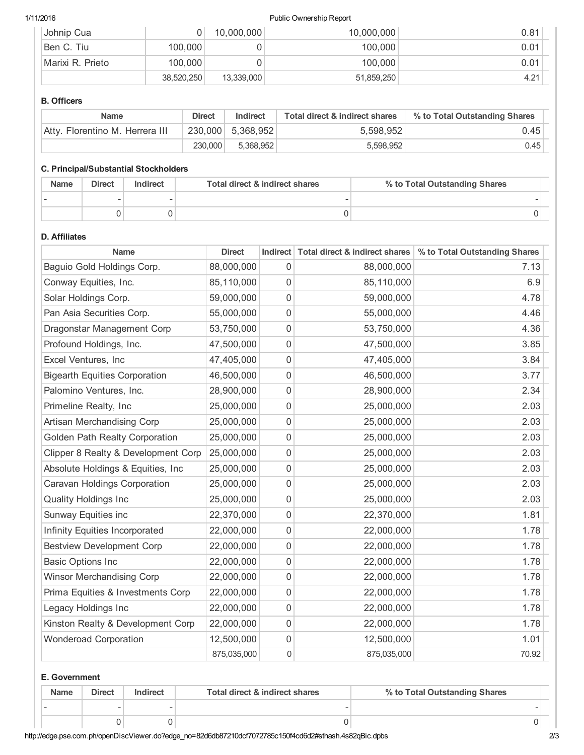#### 1/11/2016 Public Ownership Report

| Johnip Cua       |            | 10,000,000 | 10,000,000 | 0.81 |
|------------------|------------|------------|------------|------|
| Ben C. Tiu       | 100,000    |            | 100,000    | 0.01 |
| Marixi R. Prieto | 100,000    |            | 100,000    | 0.01 |
|                  | 38,520,250 | 13,339,000 | 51,859,250 | 4.21 |

# B. Officers

| <b>Name</b>                     | <b>Direct</b> | Indirect          | Total direct & indirect shares | % to Total Outstanding Shares |
|---------------------------------|---------------|-------------------|--------------------------------|-------------------------------|
| Atty. Florentino M. Herrera III |               | 230,000 5,368,952 | 5.598.952                      | $0.45 +$                      |
|                                 | 230,000       | 5.368.952         | 5,598,952                      | 0.45                          |

### C. Principal/Substantial Stockholders

| <b>Name</b> | <b>Direct</b> | Indirect | Total direct & indirect shares | % to Total Outstanding Shares |
|-------------|---------------|----------|--------------------------------|-------------------------------|
|             |               |          |                                |                               |
|             |               |          |                                |                               |

## D. Affiliates

| <b>Name</b>                          | <b>Direct</b> |                  | Indirect Total direct & indirect shares | % to Total Outstanding Shares |
|--------------------------------------|---------------|------------------|-----------------------------------------|-------------------------------|
| Baguio Gold Holdings Corp.           | 88,000,000    | 0                | 88,000,000                              | 7.13                          |
| Conway Equities, Inc.                | 85,110,000    | 0                | 85,110,000                              | 6.9                           |
| Solar Holdings Corp.                 | 59,000,000    | 0                | 59,000,000                              | 4.78                          |
| Pan Asia Securities Corp.            | 55,000,000    | 0                | 55,000,000                              | 4.46                          |
| Dragonstar Management Corp           | 53,750,000    | 0                | 53,750,000                              | 4.36                          |
| Profound Holdings, Inc.              | 47,500,000    | $\mathbf 0$      | 47,500,000                              | 3.85                          |
| Excel Ventures, Inc                  | 47,405,000    | 0                | 47,405,000                              | 3.84                          |
| <b>Bigearth Equities Corporation</b> | 46,500,000    | 0                | 46,500,000                              | 3.77                          |
| Palomino Ventures, Inc.              | 28,900,000    | 0                | 28,900,000                              | 2.34                          |
| Primeline Realty, Inc                | 25,000,000    | $\mathbf 0$      | 25,000,000                              | 2.03                          |
| Artisan Merchandising Corp           | 25,000,000    | $\boldsymbol{0}$ | 25,000,000                              | 2.03                          |
| Golden Path Realty Corporation       | 25,000,000    | 0                | 25,000,000                              | 2.03                          |
| Clipper 8 Realty & Development Corp  | 25,000,000    | $\boldsymbol{0}$ | 25,000,000                              | 2.03                          |
| Absolute Holdings & Equities, Inc    | 25,000,000    | $\mathbf 0$      | 25,000,000                              | 2.03                          |
| Caravan Holdings Corporation         | 25,000,000    | $\boldsymbol{0}$ | 25,000,000                              | 2.03                          |
| <b>Quality Holdings Inc</b>          | 25,000,000    | $\boldsymbol{0}$ | 25,000,000                              | 2.03                          |
| Sunway Equities inc                  | 22,370,000    | 0                | 22,370,000                              | 1.81                          |
| Infinity Equities Incorporated       | 22,000,000    | 0                | 22,000,000                              | 1.78                          |
| <b>Bestview Development Corp</b>     | 22,000,000    | $\mathbf 0$      | 22,000,000                              | 1.78                          |
| <b>Basic Options Inc</b>             | 22,000,000    | 0                | 22,000,000                              | 1.78                          |
| <b>Winsor Merchandising Corp</b>     | 22,000,000    | 0                | 22,000,000                              | 1.78                          |
| Prima Equities & Investments Corp    | 22,000,000    | 0                | 22,000,000                              | 1.78                          |
| Legacy Holdings Inc                  | 22,000,000    | 0                | 22,000,000                              | 1.78                          |
| Kinston Realty & Development Corp    | 22,000,000    | $\mathbf 0$      | 22,000,000                              | 1.78                          |
| <b>Wonderoad Corporation</b>         | 12,500,000    | $\boldsymbol{0}$ | 12,500,000                              | 1.01                          |
|                                      | 875,035,000   | 0                | 875,035,000                             | 70.92                         |

# E. Government

| <b>Name</b> | <b>Direct</b> | Indirect | Total direct & indirect shares | % to Total Outstanding Shares |        |
|-------------|---------------|----------|--------------------------------|-------------------------------|--------|
|             | -             | $\sim$   |                                |                               | $\sim$ |
|             |               |          |                                | U                             |        |